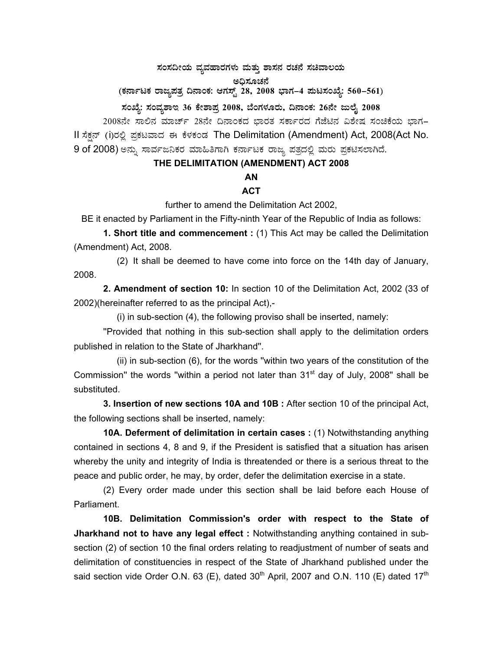$\pi$ ನಂಸದೀಯ ವ್ಯವಹಾರಗಳು ಮತ್ತು ಶಾಸನ ರಚನೆ ಸಚಿವಾಲಯ

ಅಧಿಸೂಚನೆ

(ಕರ್ನಾಟಕ ರಾಜ್ಯಪತ್ರ ದಿನಾಂಕ: ಆಗಸ್ಟ್ 28, 2008 ಭಾಗ–4 **ಪುಟಸಂಖ್ಯೆ: 560–561**)

## ಸಂಖ್ಯೆ: ಸಂವ್ಯಶಾಇ 36 ಕೇಶಾಪ್ರ 2008, ಬೆಂಗಳೂರು, ದಿನಾಂಕ: 26ನೇ ಜುಲೈ 2008

2008ನೇ ಸಾಲಿನ ಮಾರ್ಚ್ 28ನೇ ದಿನಾಂಕದ ಭಾರತ ಸರ್ಕಾರದ ಗೆಜೆಟಿನ ವಿಶೇಷ ಸಂಚಿಕೆಯ ಭಾಗ– II ಸೆಕ್ಷನ್ (i)ರಲ್ಲಿ ಪ್ರಕಟವಾದ ಈ ಕೆಳಕಂಡ The Delimitation (Amendment) Act, 2008(Act No. 9 of 2008) ಅನ್ನು ಸಾರ್ವಜನಿಕರ ಮಾಹಿತಿಗಾಗಿ ಕರ್ನಾಟಕ ರಾಜ್ಯ ಪತ್ರದಲ್ಲಿ ಮರು ಪ್ರಕಟಿಸಲಾಗಿದೆ.

## **THE DELIMITATION (AMENDMENT) ACT 2008**

## **AN**

## **ACT**

further to amend the Delimitation Act 2002,

BE it enacted by Parliament in the Fifty-ninth Year of the Republic of India as follows:

**1. Short title and commencement :** (1) This Act may be called the Delimitation (Amendment) Act, 2008.

 (2) It shall be deemed to have come into force on the 14th day of January, 2008.

**2. Amendment of section 10:** In section 10 of the Delimitation Act, 2002 (33 of 2002)(hereinafter referred to as the principal Act),-

(i) in sub-section (4), the following proviso shall be inserted, namely:

 ''Provided that nothing in this sub-section shall apply to the delimitation orders published in relation to the State of Jharkhand''.

 (ii) in sub-section (6), for the words ''within two years of the constitution of the Commission" the words "within a period not later than  $31<sup>st</sup>$  day of July, 2008" shall be substituted.

**3. Insertion of new sections 10A and 10B :** After section 10 of the principal Act, the following sections shall be inserted, namely:

**10A. Deferment of delimitation in certain cases :** (1) Notwithstanding anything contained in sections 4, 8 and 9, if the President is satisfied that a situation has arisen whereby the unity and integrity of India is threatended or there is a serious threat to the peace and public order, he may, by order, defer the delimitation exercise in a state.

 (2) Every order made under this section shall be laid before each House of Parliament.

**10B. Delimitation Commission's order with respect to the State of Jharkhand not to have any legal effect :** Notwithstanding anything contained in subsection (2) of section 10 the final orders relating to readjustment of number of seats and delimitation of constituencies in respect of the State of Jharkhand published under the said section vide Order O.N. 63 (E), dated  $30<sup>th</sup>$  April, 2007 and O.N. 110 (E) dated 17<sup>th</sup>